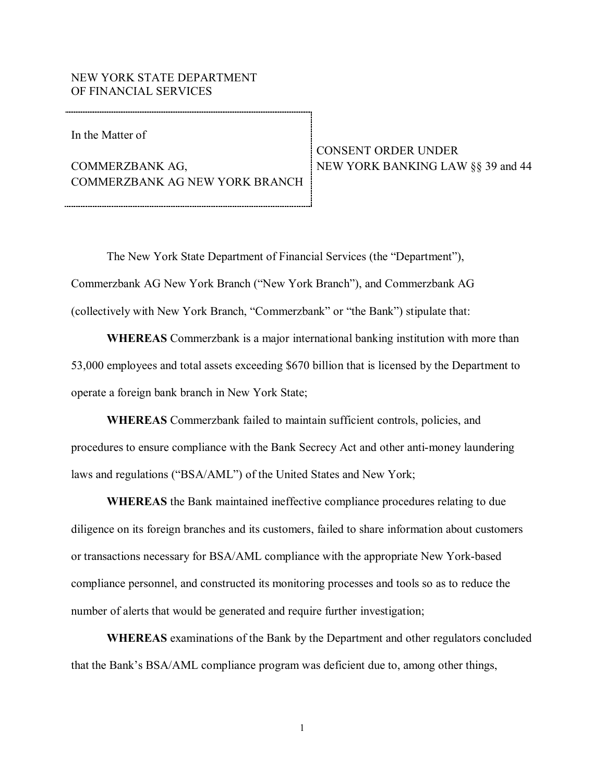## NEW YORK STATE DEPARTMENT OF FINANCIAL SERVICES

In the Matter of

**COMMERZBANK AG.**  COMMERZBANK AG NEW YORK BRANCH COMMERZBANK AG, NEW YORK BANKING LAW §§ 39 and 44

CONSENT ORDER UNDER

 Commerzbank AG New York Branch ("New York Branch"), and Commerzbank AG (collectively with New York Branch, "Commerzbank" or "the Bank") stipulate that: The New York State Department of Financial Services (the "Department"),

 **WHEREAS** Commerzbank is a major international banking institution with more than 53,000 employees and total assets exceeding \$670 billion that is licensed by the Department to operate a foreign bank branch in New York State;

 **WHEREAS** Commerzbank failed to maintain sufficient controls, policies, and procedures to ensure compliance with the Bank Secrecy Act and other anti-money laundering laws and regulations ("BSA/AML") of the United States and New York;

 **WHEREAS** the Bank maintained ineffective compliance procedures relating to due diligence on its foreign branches and its customers, failed to share information about customers or transactions necessary for BSA/AML compliance with the appropriate New York-based compliance personnel, and constructed its monitoring processes and tools so as to reduce the number of alerts that would be generated and require further investigation;

 **WHEREAS** examinations of the Bank by the Department and other regulators concluded that the Bank's BSA/AML compliance program was deficient due to, among other things,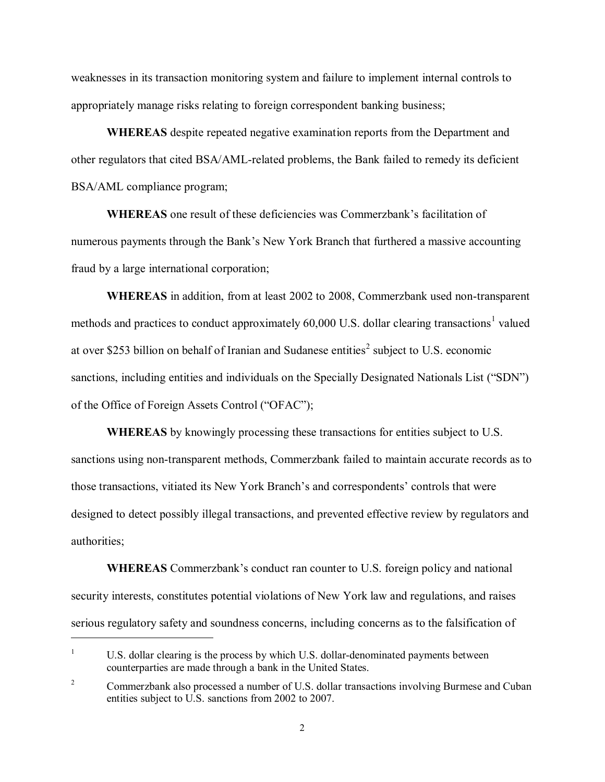weaknesses in its transaction monitoring system and failure to implement internal controls to appropriately manage risks relating to foreign correspondent banking business;

 **WHEREAS** despite repeated negative examination reports from the Department and other regulators that cited BSA/AML-related problems, the Bank failed to remedy its deficient BSA/AML compliance program;

 **WHEREAS** one result of these deficiencies was Commerzbank's facilitation of numerous payments through the Bank's New York Branch that furthered a massive accounting fraud by a large international corporation;

 **WHEREAS** in addition, from at least 2002 to 2008, Commerzbank used non-transparent methods and practices to conduct approximately  $60,000$  U.S. dollar clearing transactions<sup>1</sup> valued at over \$253 billion on behalf of Iranian and Sudanese entities<sup>2</sup> subject to U.S. economic sanctions, including entities and individuals on the Specially Designated Nationals List ("SDN") of the Office of Foreign Assets Control ("OFAC");

 **WHEREAS** by knowingly processing these transactions for entities subject to U.S. sanctions using non-transparent methods, Commerzbank failed to maintain accurate records as to those transactions, vitiated its New York Branch's and correspondents' controls that were designed to detect possibly illegal transactions, and prevented effective review by regulators and authorities;

 **WHEREAS** Commerzbank's conduct ran counter to U.S. foreign policy and national security interests, constitutes potential violations of New York law and regulations, and raises serious regulatory safety and soundness concerns, including concerns as to the falsification of

 $\overline{a}$ 

 counterparties are made through a bank in the United States. 1U.S. dollar clearing is the process by which U.S. dollar-denominated payments between

<sup>&</sup>lt;sup>2</sup> Commerzbank also processed a number of U.S. dollar transactions involving Burmese and Cuban entities subject to U.S. sanctions from 2002 to 2007.  $\overline{2}$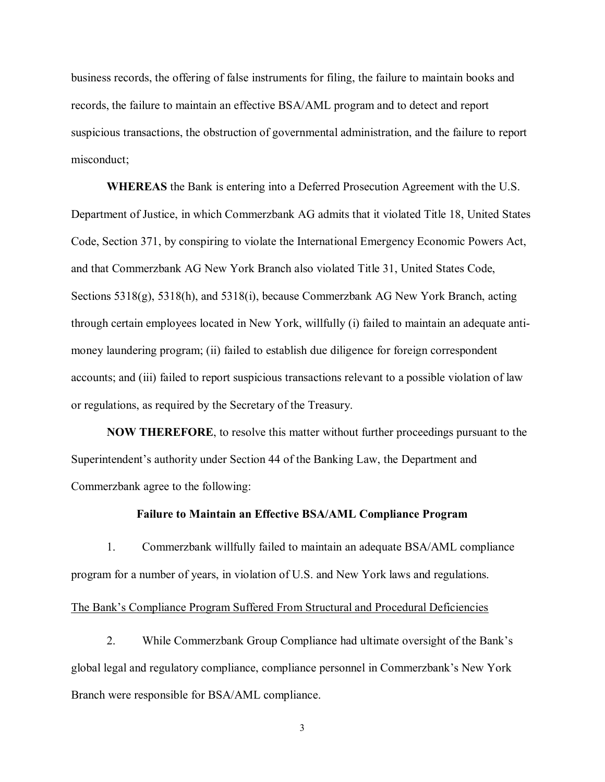business records, the offering of false instruments for filing, the failure to maintain books and records, the failure to maintain an effective BSA/AML program and to detect and report suspicious transactions, the obstruction of governmental administration, and the failure to report misconduct;

 **WHEREAS** the Bank is entering into a Deferred Prosecution Agreement with the U.S. Department of Justice, in which Commerzbank AG admits that it violated Title 18, United States Code, Section 371, by conspiring to violate the International Emergency Economic Powers Act, and that Commerzbank AG New York Branch also violated Title 31, United States Code, Sections 5318(g), 5318(h), and 5318(i), because Commerzbank AG New York Branch, acting through certain employees located in New York, willfully (i) failed to maintain an adequate anti- money laundering program; (ii) failed to establish due diligence for foreign correspondent accounts; and (iii) failed to report suspicious transactions relevant to a possible violation of law or regulations, as required by the Secretary of the Treasury.

 **NOW THEREFORE**, to resolve this matter without further proceedings pursuant to the Superintendent's authority under Section 44 of the Banking Law, the Department and Commerzbank agree to the following:

## **Failure to Maintain an Effective BSA/AML Compliance Program**

 1. Commerzbank willfully failed to maintain an adequate BSA/AML compliance program for a number of years, in violation of U.S. and New York laws and regulations.

# The Bank's Compliance Program Suffered From Structural and Procedural Deficiencies

 2. While Commerzbank Group Compliance had ultimate oversight of the Bank's global legal and regulatory compliance, compliance personnel in Commerzbank's New York Branch were responsible for BSA/AML compliance.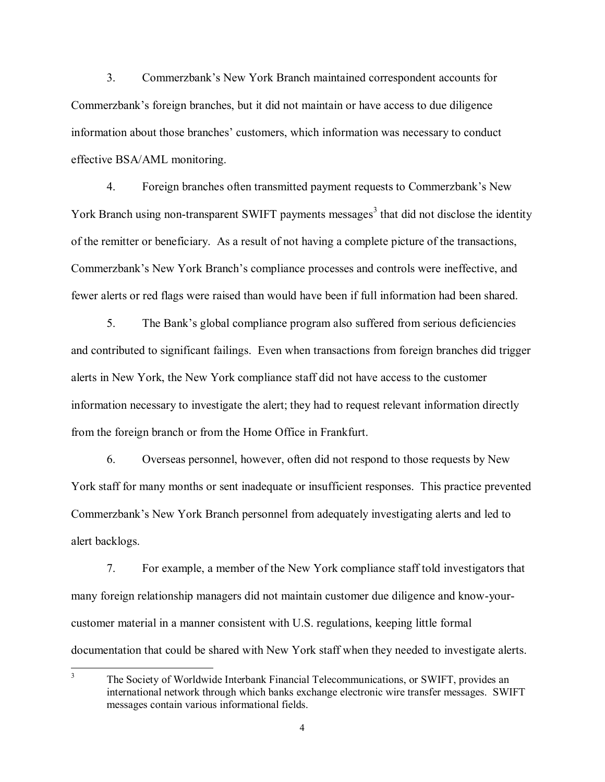3. Commerzbank's New York Branch maintained correspondent accounts for Commerzbank's foreign branches, but it did not maintain or have access to due diligence information about those branches' customers, which information was necessary to conduct effective BSA/AML monitoring.

 4. Foreign branches often transmitted payment requests to Commerzbank's New York Branch using non-transparent SWIFT payments messages<sup>3</sup> that did not disclose the identity of the remitter or beneficiary. As a result of not having a complete picture of the transactions, Commerzbank's New York Branch's compliance processes and controls were ineffective, and fewer alerts or red flags were raised than would have been if full information had been shared.

 5. The Bank's global compliance program also suffered from serious deficiencies and contributed to significant failings. Even when transactions from foreign branches did trigger alerts in New York, the New York compliance staff did not have access to the customer information necessary to investigate the alert; they had to request relevant information directly from the foreign branch or from the Home Office in Frankfurt.

 6. Overseas personnel, however, often did not respond to those requests by New York staff for many months or sent inadequate or insufficient responses. This practice prevented Commerzbank's New York Branch personnel from adequately investigating alerts and led to alert backlogs.

 7. For example, a member of the New York compliance staff told investigators that many foreign relationship managers did not maintain customer due diligence and know-your- customer material in a manner consistent with U.S. regulations, keeping little formal documentation that could be shared with New York staff when they needed to investigate alerts.

 $\overline{3}$ The Society of Worldwide Interbank Financial Telecommunications, or SWIFT, provides an international network through which banks exchange electronic wire transfer messages. SWI messages contain various informational fields international network through which banks exchange electronic wire transfer messages. SWIFT messages contain various informational fields.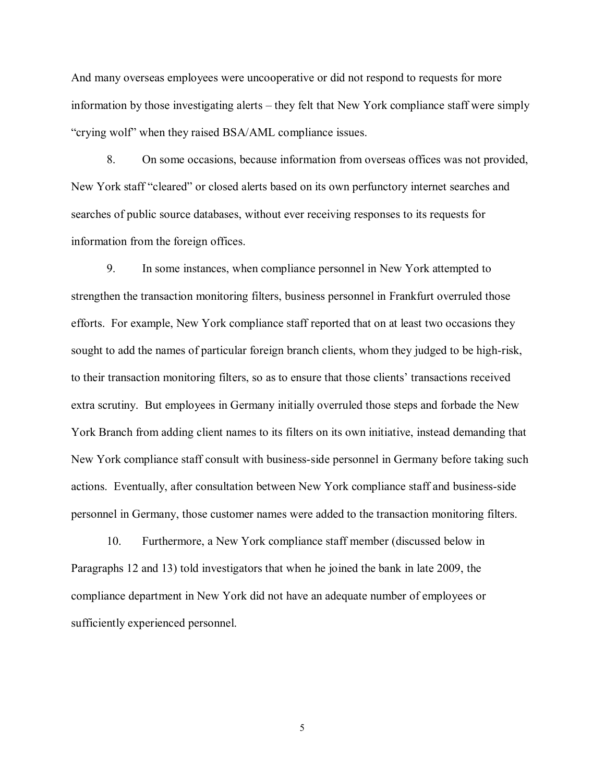And many overseas employees were uncooperative or did not respond to requests for more information by those investigating alerts – they felt that New York compliance staff were simply "crying wolf" when they raised BSA/AML compliance issues.

 8. On some occasions, because information from overseas offices was not provided, New York staff "cleared" or closed alerts based on its own perfunctory internet searches and searches of public source databases, without ever receiving responses to its requests for information from the foreign offices.

 9. In some instances, when compliance personnel in New York attempted to strengthen the transaction monitoring filters, business personnel in Frankfurt overruled those efforts. For example, New York compliance staff reported that on at least two occasions they sought to add the names of particular foreign branch clients, whom they judged to be high-risk, to their transaction monitoring filters, so as to ensure that those clients' transactions received extra scrutiny. But employees in Germany initially overruled those steps and forbade the New York Branch from adding client names to its filters on its own initiative, instead demanding that New York compliance staff consult with business-side personnel in Germany before taking such actions. Eventually, after consultation between New York compliance staff and business-side personnel in Germany, those customer names were added to the transaction monitoring filters.

 10. Furthermore, a New York compliance staff member (discussed below in Paragraphs 12 and 13) told investigators that when he joined the bank in late 2009, the compliance department in New York did not have an adequate number of employees or sufficiently experienced personnel.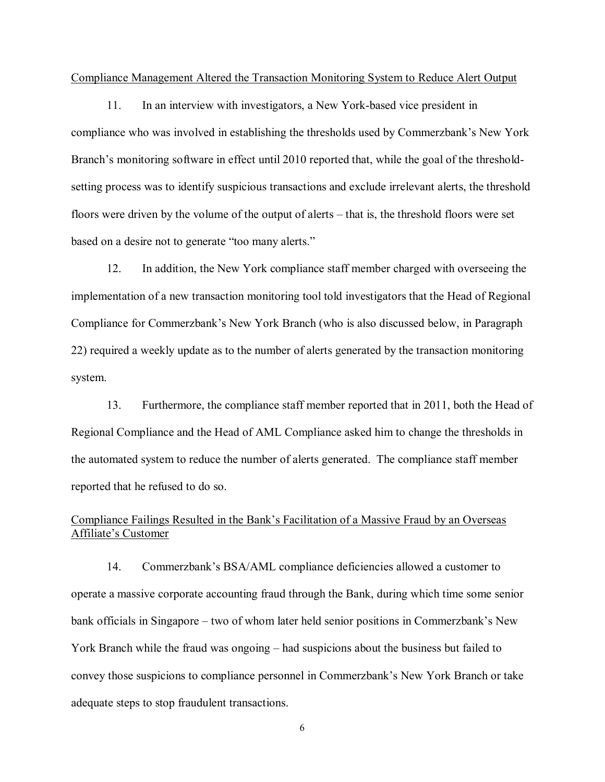Compliance Management Altered the Transaction Monitoring System to Reduce Alert Output

 11. In an interview with investigators, a New York-based vice president in compliance who was involved in establishing the thresholds used by Commerzbank's New York Branch's monitoring software in effect until 2010 reported that, while the goal of the threshold- setting process was to identify suspicious transactions and exclude irrelevant alerts, the threshold floors were driven by the volume of the output of alerts – that is, the threshold floors were set based on a desire not to generate "too many alerts."

 12. In addition, the New York compliance staff member charged with overseeing the implementation of a new transaction monitoring tool told investigators that the Head of Regional Compliance for Commerzbank's New York Branch (who is also discussed below, in Paragraph 22) required a weekly update as to the number of alerts generated by the transaction monitoring system.

 13. Furthermore, the compliance staff member reported that in 2011, both the Head of Regional Compliance and the Head of AML Compliance asked him to change the thresholds in the automated system to reduce the number of alerts generated. The compliance staff member reported that he refused to do so.

# Compliance Failings Resulted in the Bank's Facilitation of a Massive Fraud by an Overseas Affiliate's Customer

 14. Commerzbank's BSA/AML compliance deficiencies allowed a customer to operate a massive corporate accounting fraud through the Bank, during which time some senior bank officials in Singapore – two of whom later held senior positions in Commerzbank's New York Branch while the fraud was ongoing – had suspicions about the business but failed to convey those suspicions to compliance personnel in Commerzbank's New York Branch or take adequate steps to stop fraudulent transactions.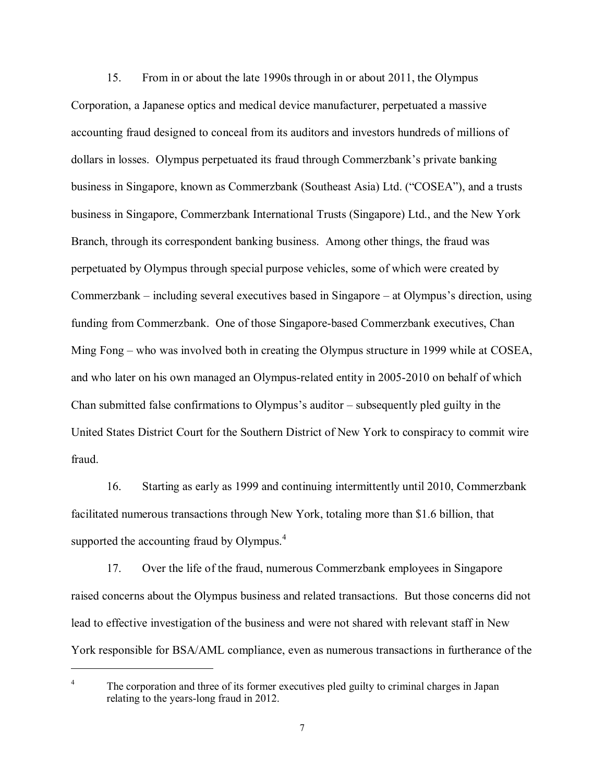15. From in or about the late 1990s through in or about 2011, the Olympus Corporation, a Japanese optics and medical device manufacturer, perpetuated a massive accounting fraud designed to conceal from its auditors and investors hundreds of millions of dollars in losses. Olympus perpetuated its fraud through Commerzbank's private banking business in Singapore, known as Commerzbank (Southeast Asia) Ltd. ("COSEA"), and a trusts business in Singapore, Commerzbank International Trusts (Singapore) Ltd., and the New York Branch, through its correspondent banking business. Among other things, the fraud was perpetuated by Olympus through special purpose vehicles, some of which were created by Commerzbank – including several executives based in Singapore – at Olympus's direction, using funding from Commerzbank. One of those Singapore-based Commerzbank executives, Chan Ming Fong – who was involved both in creating the Olympus structure in 1999 while at COSEA, and who later on his own managed an Olympus-related entity in 2005-2010 on behalf of which Chan submitted false confirmations to Olympus's auditor – subsequently pled guilty in the United States District Court for the Southern District of New York to conspiracy to commit wire fraud.

 16. Starting as early as 1999 and continuing intermittently until 2010, Commerzbank facilitated numerous transactions through New York, totaling more than \$1.6 billion, that supported the accounting fraud by Olympus.<sup>4</sup>

 17. Over the life of the fraud, numerous Commerzbank employees in Singapore raised concerns about the Olympus business and related transactions. But those concerns did not lead to effective investigation of the business and were not shared with relevant staff in New York responsible for BSA/AML compliance, even as numerous transactions in furtherance of the

 $\overline{4}$  relating to the years-long fraud in 2012. The corporation and three of its former executives pled guilty to criminal charges in Japan relating to the years-long fraud in 2012.

l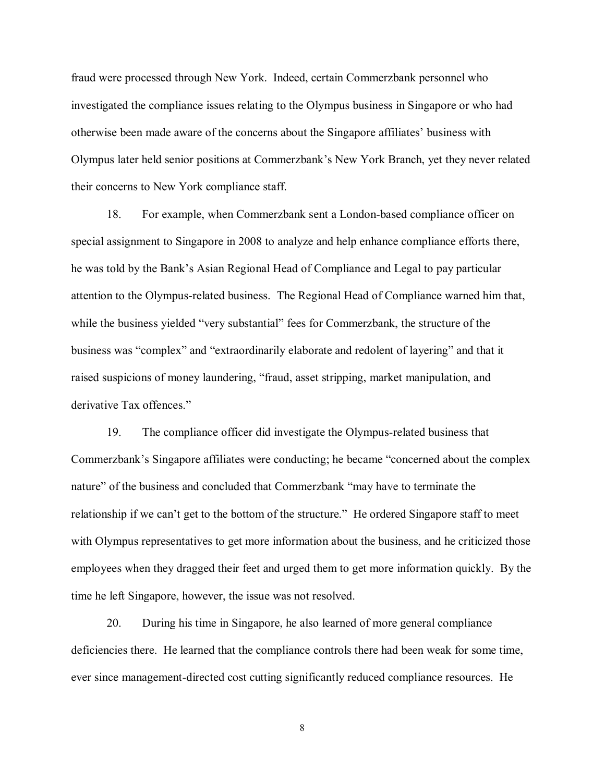fraud were processed through New York. Indeed, certain Commerzbank personnel who investigated the compliance issues relating to the Olympus business in Singapore or who had otherwise been made aware of the concerns about the Singapore affiliates' business with Olympus later held senior positions at Commerzbank's New York Branch, yet they never related their concerns to New York compliance staff.

 18. For example, when Commerzbank sent a London-based compliance officer on special assignment to Singapore in 2008 to analyze and help enhance compliance efforts there, he was told by the Bank's Asian Regional Head of Compliance and Legal to pay particular attention to the Olympus-related business. The Regional Head of Compliance warned him that, while the business yielded "very substantial" fees for Commerzbank, the structure of the business was "complex" and "extraordinarily elaborate and redolent of layering" and that it raised suspicions of money laundering, "fraud, asset stripping, market manipulation, and derivative Tax offences."

 19. The compliance officer did investigate the Olympus-related business that Commerzbank's Singapore affiliates were conducting; he became "concerned about the complex nature" of the business and concluded that Commerzbank "may have to terminate the relationship if we can't get to the bottom of the structure." He ordered Singapore staff to meet with Olympus representatives to get more information about the business, and he criticized those employees when they dragged their feet and urged them to get more information quickly. By the time he left Singapore, however, the issue was not resolved.

 20. During his time in Singapore, he also learned of more general compliance deficiencies there. He learned that the compliance controls there had been weak for some time, ever since management-directed cost cutting significantly reduced compliance resources. He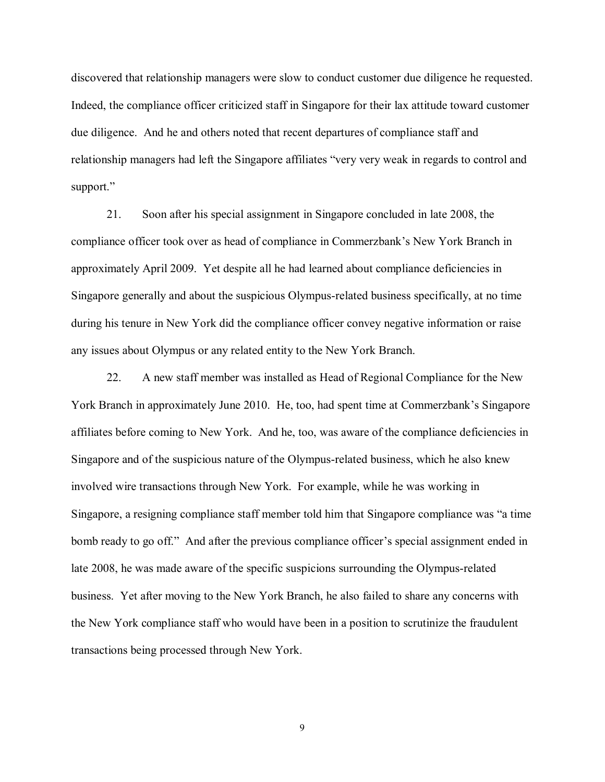discovered that relationship managers were slow to conduct customer due diligence he requested. Indeed, the compliance officer criticized staff in Singapore for their lax attitude toward customer due diligence. And he and others noted that recent departures of compliance staff and relationship managers had left the Singapore affiliates "very very weak in regards to control and support."

 21. Soon after his special assignment in Singapore concluded in late 2008, the compliance officer took over as head of compliance in Commerzbank's New York Branch in approximately April 2009. Yet despite all he had learned about compliance deficiencies in Singapore generally and about the suspicious Olympus-related business specifically, at no time during his tenure in New York did the compliance officer convey negative information or raise any issues about Olympus or any related entity to the New York Branch.

 22. A new staff member was installed as Head of Regional Compliance for the New York Branch in approximately June 2010. He, too, had spent time at Commerzbank's Singapore affiliates before coming to New York. And he, too, was aware of the compliance deficiencies in Singapore and of the suspicious nature of the Olympus-related business, which he also knew involved wire transactions through New York. For example, while he was working in Singapore, a resigning compliance staff member told him that Singapore compliance was "a time bomb ready to go off." And after the previous compliance officer's special assignment ended in late 2008, he was made aware of the specific suspicions surrounding the Olympus-related business. Yet after moving to the New York Branch, he also failed to share any concerns with the New York compliance staff who would have been in a position to scrutinize the fraudulent transactions being processed through New York.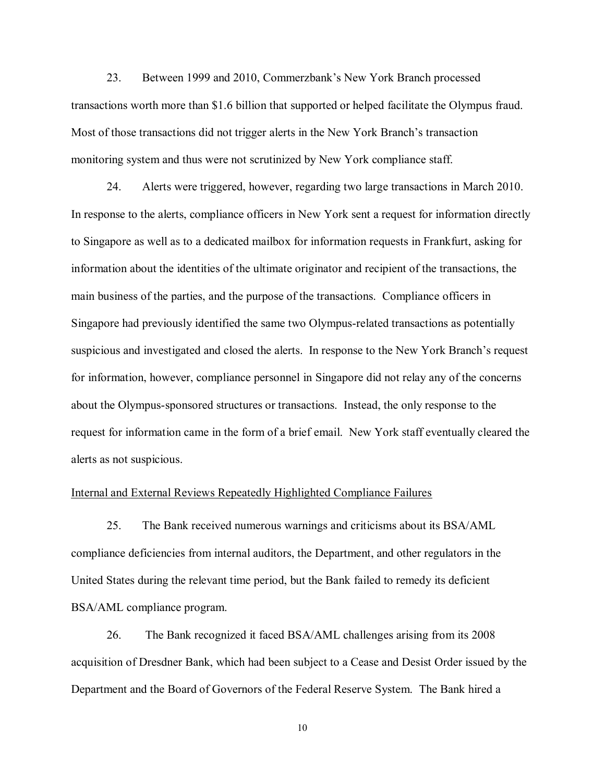transactions worth more than \$1.6 billion that supported or helped facilitate the Olympus fraud. Most of those transactions did not trigger alerts in the New York Branch's transaction monitoring system and thus were not scrutinized by New York compliance staff. 23. Between 1999 and 2010, Commerzbank's New York Branch processed

 24. Alerts were triggered, however, regarding two large transactions in March 2010. In response to the alerts, compliance officers in New York sent a request for information directly to Singapore as well as to a dedicated mailbox for information requests in Frankfurt, asking for information about the identities of the ultimate originator and recipient of the transactions, the main business of the parties, and the purpose of the transactions. Compliance officers in Singapore had previously identified the same two Olympus-related transactions as potentially suspicious and investigated and closed the alerts. In response to the New York Branch's request for information, however, compliance personnel in Singapore did not relay any of the concerns about the Olympus-sponsored structures or transactions. Instead, the only response to the request for information came in the form of a brief email. New York staff eventually cleared the alerts as not suspicious.

#### Internal and External Reviews Repeatedly Highlighted Compliance Failures

 25. The Bank received numerous warnings and criticisms about its BSA/AML compliance deficiencies from internal auditors, the Department, and other regulators in the United States during the relevant time period, but the Bank failed to remedy its deficient BSA/AML compliance program.

 26. The Bank recognized it faced BSA/AML challenges arising from its 2008 acquisition of Dresdner Bank, which had been subject to a Cease and Desist Order issued by the Department and the Board of Governors of the Federal Reserve System. The Bank hired a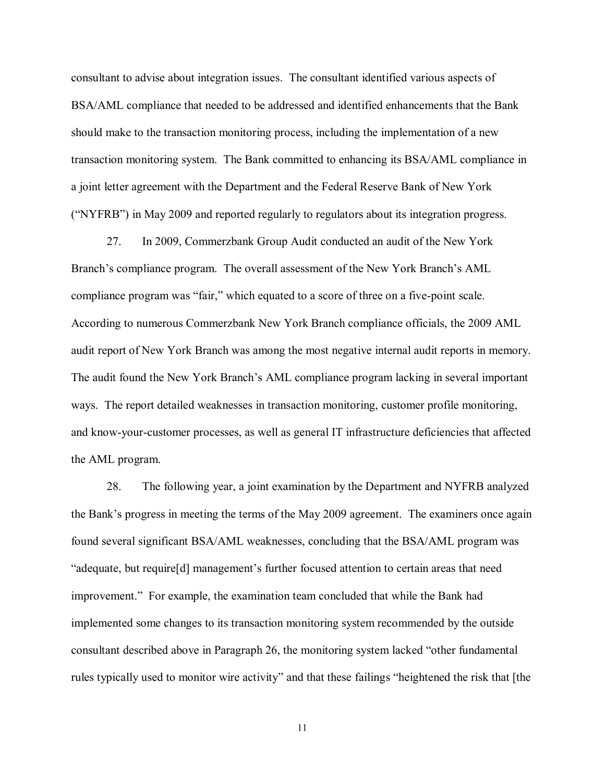consultant to advise about integration issues. The consultant identified various aspects of BSA/AML compliance that needed to be addressed and identified enhancements that the Bank should make to the transaction monitoring process, including the implementation of a new transaction monitoring system. The Bank committed to enhancing its BSA/AML compliance in a joint letter agreement with the Department and the Federal Reserve Bank of New York ("NYFRB") in May 2009 and reported regularly to regulators about its integration progress.

 27. In 2009, Commerzbank Group Audit conducted an audit of the New York Branch's compliance program. The overall assessment of the New York Branch's AML compliance program was "fair," which equated to a score of three on a five-point scale. According to numerous Commerzbank New York Branch compliance officials, the 2009 AML audit report of New York Branch was among the most negative internal audit reports in memory. The audit found the New York Branch's AML compliance program lacking in several important ways. The report detailed weaknesses in transaction monitoring, customer profile monitoring, and know-your-customer processes, as well as general IT infrastructure deficiencies that affected the AML program.

 28. The following year, a joint examination by the Department and NYFRB analyzed the Bank's progress in meeting the terms of the May 2009 agreement. The examiners once again found several significant BSA/AML weaknesses, concluding that the BSA/AML program was "adequate, but require[d] management's further focused attention to certain areas that need improvement." For example, the examination team concluded that while the Bank had implemented some changes to its transaction monitoring system recommended by the outside consultant described above in Paragraph 26, the monitoring system lacked "other fundamental rules typically used to monitor wire activity" and that these failings "heightened the risk that [the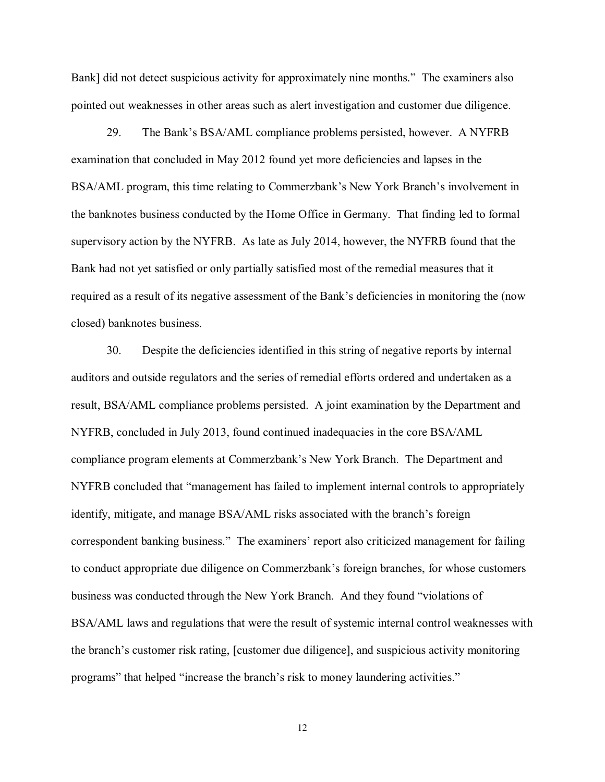Bank] did not detect suspicious activity for approximately nine months." The examiners also pointed out weaknesses in other areas such as alert investigation and customer due diligence.

 29. The Bank's BSA/AML compliance problems persisted, however. A NYFRB examination that concluded in May 2012 found yet more deficiencies and lapses in the BSA/AML program, this time relating to Commerzbank's New York Branch's involvement in the banknotes business conducted by the Home Office in Germany. That finding led to formal supervisory action by the NYFRB. As late as July 2014, however, the NYFRB found that the Bank had not yet satisfied or only partially satisfied most of the remedial measures that it required as a result of its negative assessment of the Bank's deficiencies in monitoring the (now closed) banknotes business.

 30. Despite the deficiencies identified in this string of negative reports by internal auditors and outside regulators and the series of remedial efforts ordered and undertaken as a result, BSA/AML compliance problems persisted. A joint examination by the Department and NYFRB, concluded in July 2013, found continued inadequacies in the core BSA/AML compliance program elements at Commerzbank's New York Branch. The Department and NYFRB concluded that "management has failed to implement internal controls to appropriately identify, mitigate, and manage BSA/AML risks associated with the branch's foreign correspondent banking business." The examiners' report also criticized management for failing to conduct appropriate due diligence on Commerzbank's foreign branches, for whose customers business was conducted through the New York Branch. And they found "violations of BSA/AML laws and regulations that were the result of systemic internal control weaknesses with the branch's customer risk rating, [customer due diligence], and suspicious activity monitoring programs" that helped "increase the branch's risk to money laundering activities."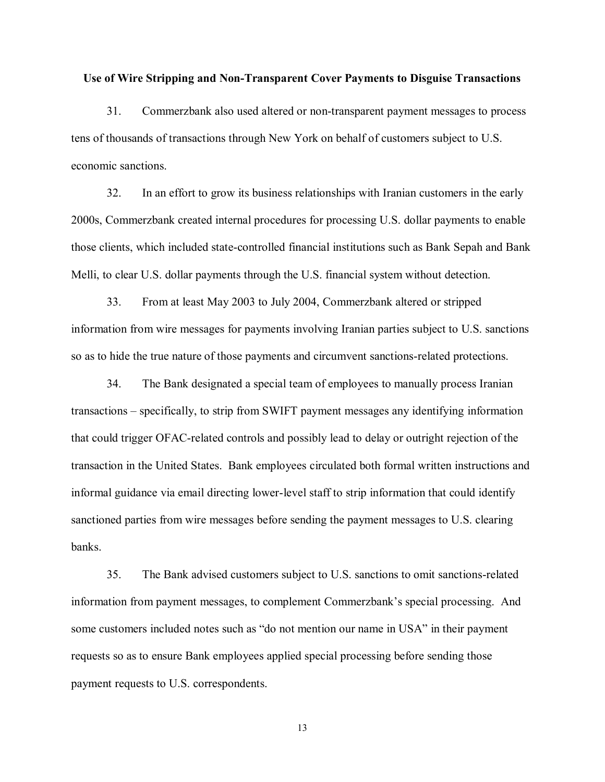#### **Use of Wire Stripping and Non-Transparent Cover Payments to Disguise Transactions**

 31. Commerzbank also used altered or non-transparent payment messages to process tens of thousands of transactions through New York on behalf of customers subject to U.S. economic sanctions.

 32. In an effort to grow its business relationships with Iranian customers in the early 2000s, Commerzbank created internal procedures for processing U.S. dollar payments to enable those clients, which included state-controlled financial institutions such as Bank Sepah and Bank Melli, to clear U.S. dollar payments through the U.S. financial system without detection.

 33. From at least May 2003 to July 2004, Commerzbank altered or stripped information from wire messages for payments involving Iranian parties subject to U.S. sanctions so as to hide the true nature of those payments and circumvent sanctions-related protections.

 34. The Bank designated a special team of employees to manually process Iranian transactions – specifically, to strip from SWIFT payment messages any identifying information that could trigger OFAC-related controls and possibly lead to delay or outright rejection of the transaction in the United States. Bank employees circulated both formal written instructions and informal guidance via email directing lower-level staff to strip information that could identify sanctioned parties from wire messages before sending the payment messages to U.S. clearing banks.

 35. The Bank advised customers subject to U.S. sanctions to omit sanctions-related information from payment messages, to complement Commerzbank's special processing. And some customers included notes such as "do not mention our name in USA" in their payment requests so as to ensure Bank employees applied special processing before sending those payment requests to U.S. correspondents.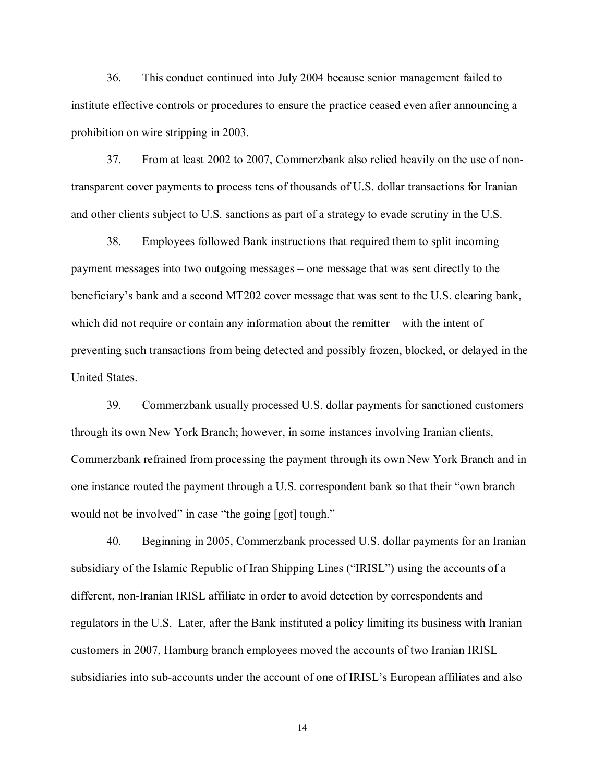36. This conduct continued into July 2004 because senior management failed to institute effective controls or procedures to ensure the practice ceased even after announcing a prohibition on wire stripping in 2003.

 37. From at least 2002 to 2007, Commerzbank also relied heavily on the use of non- transparent cover payments to process tens of thousands of U.S. dollar transactions for Iranian and other clients subject to U.S. sanctions as part of a strategy to evade scrutiny in the U.S.

 38. Employees followed Bank instructions that required them to split incoming payment messages into two outgoing messages – one message that was sent directly to the beneficiary's bank and a second MT202 cover message that was sent to the U.S. clearing bank, which did not require or contain any information about the remitter – with the intent of preventing such transactions from being detected and possibly frozen, blocked, or delayed in the United States.

 39. Commerzbank usually processed U.S. dollar payments for sanctioned customers through its own New York Branch; however, in some instances involving Iranian clients, Commerzbank refrained from processing the payment through its own New York Branch and in one instance routed the payment through a U.S. correspondent bank so that their "own branch would not be involved" in case "the going [got] tough."

 40. Beginning in 2005, Commerzbank processed U.S. dollar payments for an Iranian subsidiary of the Islamic Republic of Iran Shipping Lines ("IRISL") using the accounts of a different, non-Iranian IRISL affiliate in order to avoid detection by correspondents and regulators in the U.S. Later, after the Bank instituted a policy limiting its business with Iranian customers in 2007, Hamburg branch employees moved the accounts of two Iranian IRISL subsidiaries into sub-accounts under the account of one of IRISL's European affiliates and also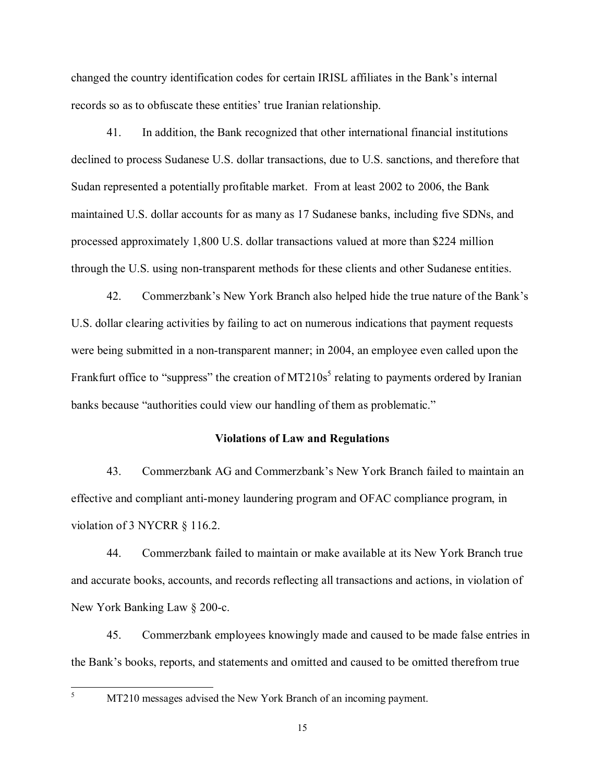changed the country identification codes for certain IRISL affiliates in the Bank's internal records so as to obfuscate these entities' true Iranian relationship.

 41. In addition, the Bank recognized that other international financial institutions declined to process Sudanese U.S. dollar transactions, due to U.S. sanctions, and therefore that Sudan represented a potentially profitable market. From at least 2002 to 2006, the Bank maintained U.S. dollar accounts for as many as 17 Sudanese banks, including five SDNs, and processed approximately 1,800 U.S. dollar transactions valued at more than \$224 million through the U.S. using non-transparent methods for these clients and other Sudanese entities.

 42. Commerzbank's New York Branch also helped hide the true nature of the Bank's U.S. dollar clearing activities by failing to act on numerous indications that payment requests were being submitted in a non-transparent manner; in 2004, an employee even called upon the Frankfurt office to "suppress" the creation of MT210s<sup>5</sup> relating to payments ordered by Iranian banks because "authorities could view our handling of them as problematic."

#### **Violations of Law and Regulations**

 43. Commerzbank AG and Commerzbank's New York Branch failed to maintain an effective and compliant anti-money laundering program and OFAC compliance program, in violation of 3 NYCRR § 116.2.

 44. Commerzbank failed to maintain or make available at its New York Branch true and accurate books, accounts, and records reflecting all transactions and actions, in violation of New York Banking Law § 200-c.

 45. Commerzbank employees knowingly made and caused to be made false entries in the Bank's books, reports, and statements and omitted and caused to be omitted therefrom true

l

MT210 messages advised the New York Branch of an incoming payment. 155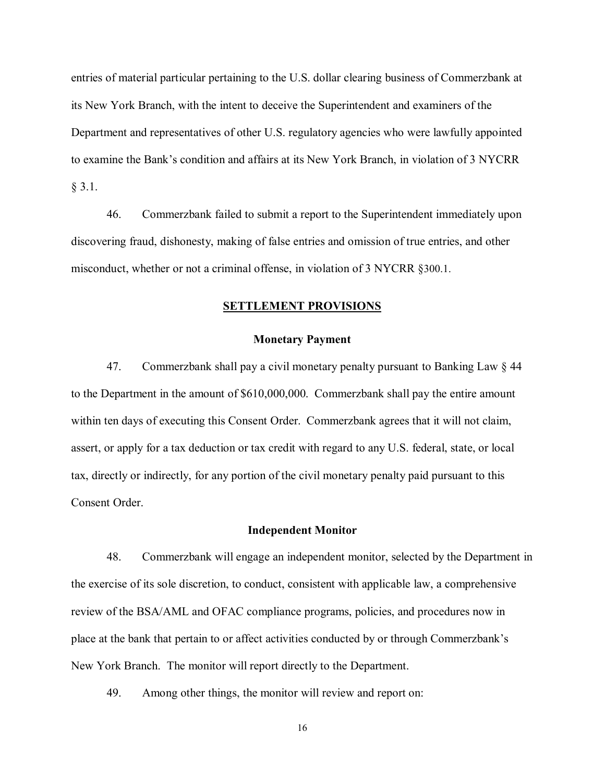entries of material particular pertaining to the U.S. dollar clearing business of Commerzbank at its New York Branch, with the intent to deceive the Superintendent and examiners of the Department and representatives of other U.S. regulatory agencies who were lawfully appointed to examine the Bank's condition and affairs at its New York Branch, in violation of 3 NYCRR  $§ 3.1.$ 

 46. Commerzbank failed to submit a report to the Superintendent immediately upon discovering fraud, dishonesty, making of false entries and omission of true entries, and other misconduct, whether or not a criminal offense, in violation of 3 NYCRR §300.1.

# **SETTLEMENT PROVISIONS<br>Monetary Payment**

#### **Monetary Payment**

 47. Commerzbank shall pay a civil monetary penalty pursuant to Banking Law § 44 to the Department in the amount of \$610,000,000. Commerzbank shall pay the entire amount within ten days of executing this Consent Order. Commerzbank agrees that it will not claim, assert, or apply for a tax deduction or tax credit with regard to any U.S. federal, state, or local tax, directly or indirectly, for any portion of the civil monetary penalty paid pursuant to this Consent Order.

#### **Independent Monitor**

 48. Commerzbank will engage an independent monitor, selected by the Department in the exercise of its sole discretion, to conduct, consistent with applicable law, a comprehensive review of the BSA/AML and OFAC compliance programs, policies, and procedures now in place at the bank that pertain to or affect activities conducted by or through Commerzbank's New York Branch. The monitor will report directly to the Department.

49. Among other things, the monitor will review and report on: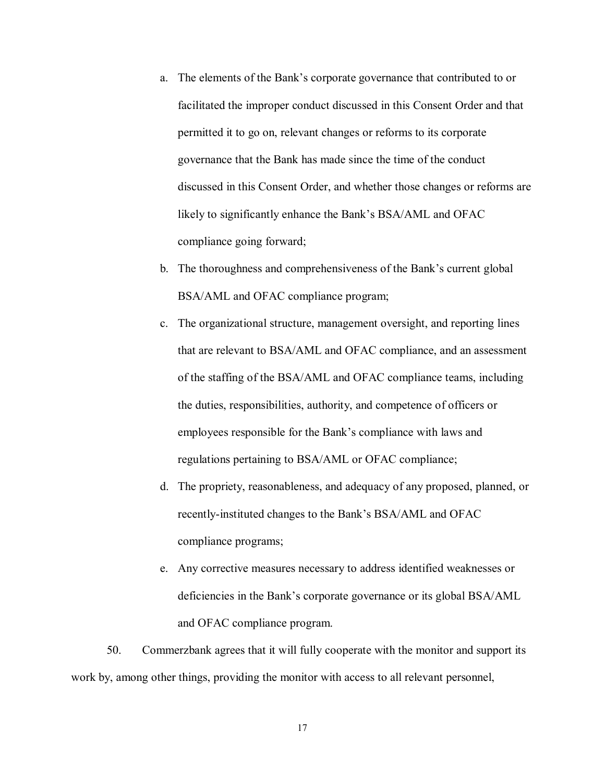- a.The elements of the Bank's corporate governance that contributed to or facilitated the improper conduct discussed in this Consent Order and that permitted it to go on, relevant changes or reforms to its corporate governance that the Bank has made since the time of the conduct discussed in this Consent Order, and whether those changes or reforms are likely to significantly enhance the Bank's BSA/AML and OFAC compliance going forward;
- b.The thoroughness and comprehensiveness of the Bank's current global BSA/AML and OFAC compliance program;
- c.The organizational structure, management oversight, and reporting lines that are relevant to BSA/AML and OFAC compliance, and an assessment of the staffing of the BSA/AML and OFAC compliance teams, including the duties, responsibilities, authority, and competence of officers or employees responsible for the Bank's compliance with laws and regulations pertaining to BSA/AML or OFAC compliance;
- d.The propriety, reasonableness, and adequacy of any proposed, planned, or recently-instituted changes to the Bank's BSA/AML and OFAC compliance programs;
- e.Any corrective measures necessary to address identified weaknesses or deficiencies in the Bank's corporate governance or its global BSA/AML and OFAC compliance program.

 50. Commerzbank agrees that it will fully cooperate with the monitor and support its work by, among other things, providing the monitor with access to all relevant personnel,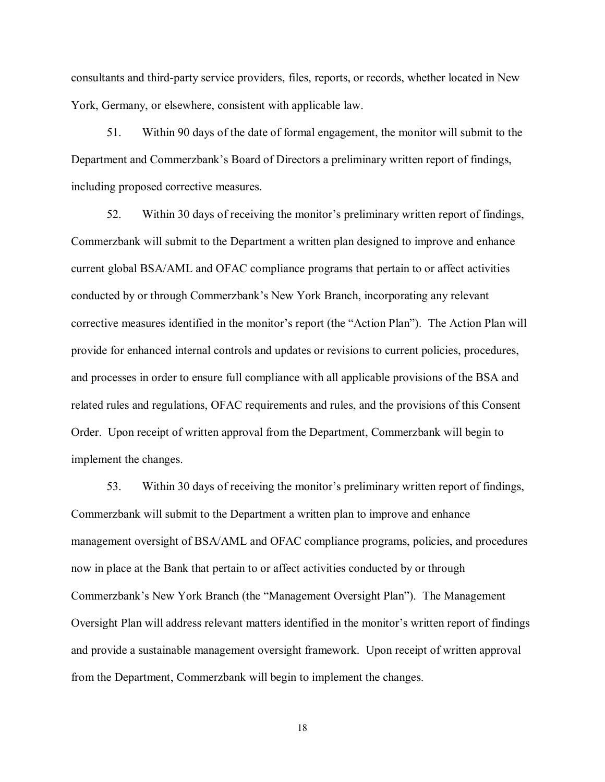consultants and third-party service providers, files, reports, or records, whether located in New York, Germany, or elsewhere, consistent with applicable law.

 51. Within 90 days of the date of formal engagement, the monitor will submit to the Department and Commerzbank's Board of Directors a preliminary written report of findings, including proposed corrective measures.

 52. Within 30 days of receiving the monitor's preliminary written report of findings, Commerzbank will submit to the Department a written plan designed to improve and enhance current global BSA/AML and OFAC compliance programs that pertain to or affect activities conducted by or through Commerzbank's New York Branch, incorporating any relevant corrective measures identified in the monitor's report (the "Action Plan"). The Action Plan will provide for enhanced internal controls and updates or revisions to current policies, procedures, and processes in order to ensure full compliance with all applicable provisions of the BSA and related rules and regulations, OFAC requirements and rules, and the provisions of this Consent Order. Upon receipt of written approval from the Department, Commerzbank will begin to implement the changes.

 53. Within 30 days of receiving the monitor's preliminary written report of findings, Commerzbank will submit to the Department a written plan to improve and enhance management oversight of BSA/AML and OFAC compliance programs, policies, and procedures now in place at the Bank that pertain to or affect activities conducted by or through Commerzbank's New York Branch (the "Management Oversight Plan"). The Management Oversight Plan will address relevant matters identified in the monitor's written report of findings and provide a sustainable management oversight framework. Upon receipt of written approval from the Department, Commerzbank will begin to implement the changes.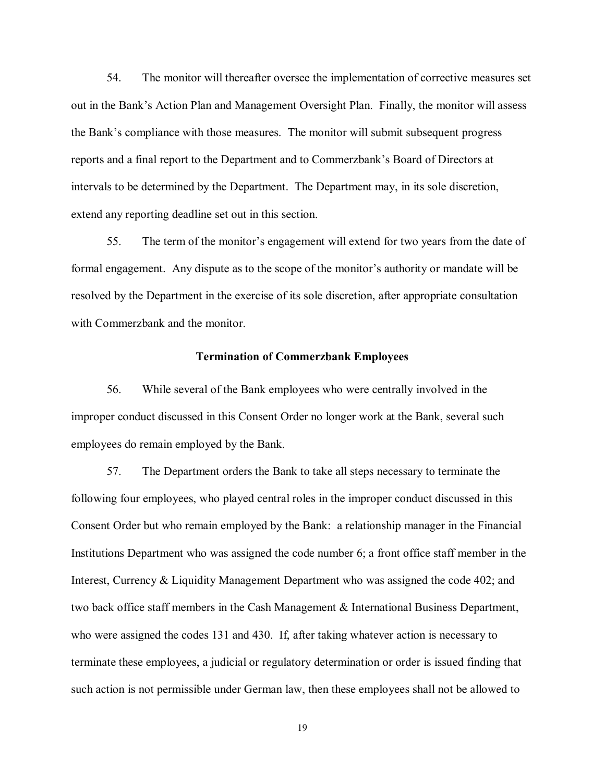54. The monitor will thereafter oversee the implementation of corrective measures set out in the Bank's Action Plan and Management Oversight Plan. Finally, the monitor will assess the Bank's compliance with those measures. The monitor will submit subsequent progress reports and a final report to the Department and to Commerzbank's Board of Directors at intervals to be determined by the Department. The Department may, in its sole discretion, extend any reporting deadline set out in this section.

 55. The term of the monitor's engagement will extend for two years from the date of formal engagement. Any dispute as to the scope of the monitor's authority or mandate will be resolved by the Department in the exercise of its sole discretion, after appropriate consultation with Commerzbank and the monitor.

#### **Termination of Commerzbank Employees**

 56. While several of the Bank employees who were centrally involved in the improper conduct discussed in this Consent Order no longer work at the Bank, several such employees do remain employed by the Bank.

 57. The Department orders the Bank to take all steps necessary to terminate the following four employees, who played central roles in the improper conduct discussed in this Consent Order but who remain employed by the Bank: a relationship manager in the Financial Institutions Department who was assigned the code number 6; a front office staff member in the Interest, Currency & Liquidity Management Department who was assigned the code 402; and two back office staff members in the Cash Management & International Business Department, who were assigned the codes 131 and 430. If, after taking whatever action is necessary to terminate these employees, a judicial or regulatory determination or order is issued finding that such action is not permissible under German law, then these employees shall not be allowed to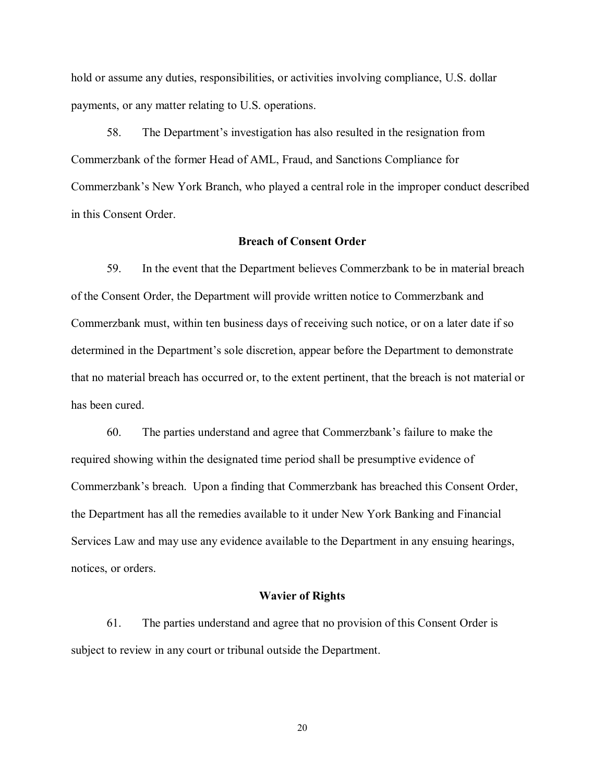hold or assume any duties, responsibilities, or activities involving compliance, U.S. dollar payments, or any matter relating to U.S. operations.

 58. The Department's investigation has also resulted in the resignation from Commerzbank of the former Head of AML, Fraud, and Sanctions Compliance for Commerzbank's New York Branch, who played a central role in the improper conduct described in this Consent Order.

## **Breach of Consent Order**

 59. In the event that the Department believes Commerzbank to be in material breach of the Consent Order, the Department will provide written notice to Commerzbank and Commerzbank must, within ten business days of receiving such notice, or on a later date if so determined in the Department's sole discretion, appear before the Department to demonstrate that no material breach has occurred or, to the extent pertinent, that the breach is not material or has been cured.

 60. The parties understand and agree that Commerzbank's failure to make the required showing within the designated time period shall be presumptive evidence of Commerzbank's breach. Upon a finding that Commerzbank has breached this Consent Order, the Department has all the remedies available to it under New York Banking and Financial Services Law and may use any evidence available to the Department in any ensuing hearings, notices, or orders.

#### **Wavier of Rights**

 61. The parties understand and agree that no provision of this Consent Order is subject to review in any court or tribunal outside the Department.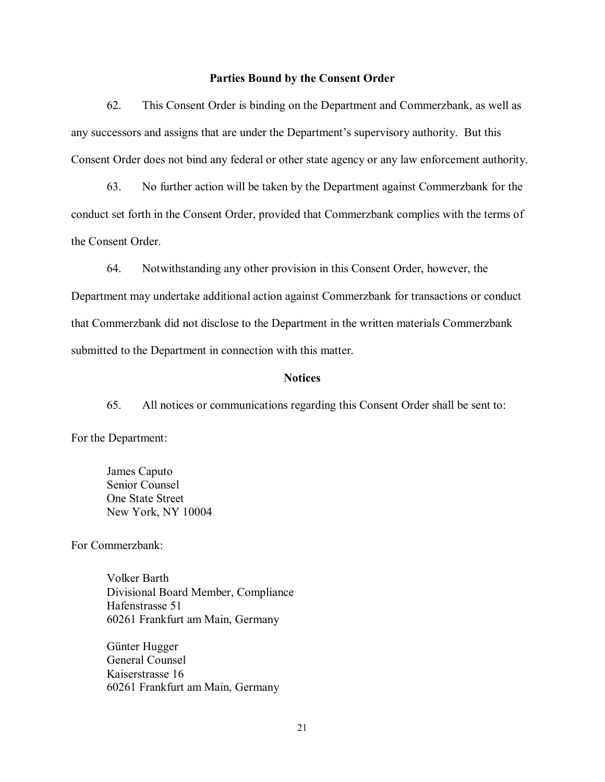#### **Parties Bound by the Consent Order**

 62. This Consent Order is binding on the Department and Commerzbank, as well as any successors and assigns that are under the Department's supervisory authority. But this Consent Order does not bind any federal or other state agency or any law enforcement authority.

 63. No further action will be taken by the Department against Commerzbank for the conduct set forth in the Consent Order, provided that Commerzbank complies with the terms of the Consent Order.

 64. Notwithstanding any other provision in this Consent Order, however, the Department may undertake additional action against Commerzbank for transactions or conduct that Commerzbank did not disclose to the Department in the written materials Commerzbank submitted to the Department in connection with this matter.

#### **Notices**

 65. All notices or communications regarding this Consent Order shall be sent to: For the Department:

Caputo Counsel **State Street** NY 10004 James Caputo<br>Senior Counsel<br>One State Street<br>New York, NY 10004<br>For Commerzbank:

Barth Compliance 51 am Main, Germany Volker Barth<br>Divisional Board Member, Compliance<br>Hafenstrasse 51<br>60261 Frankfurt am Main, Germany<br>Kaiserstrasse 16<br>60261 Frankfurt am Main, Germany<br>21

Hugger Counsel 16 am Main, Germany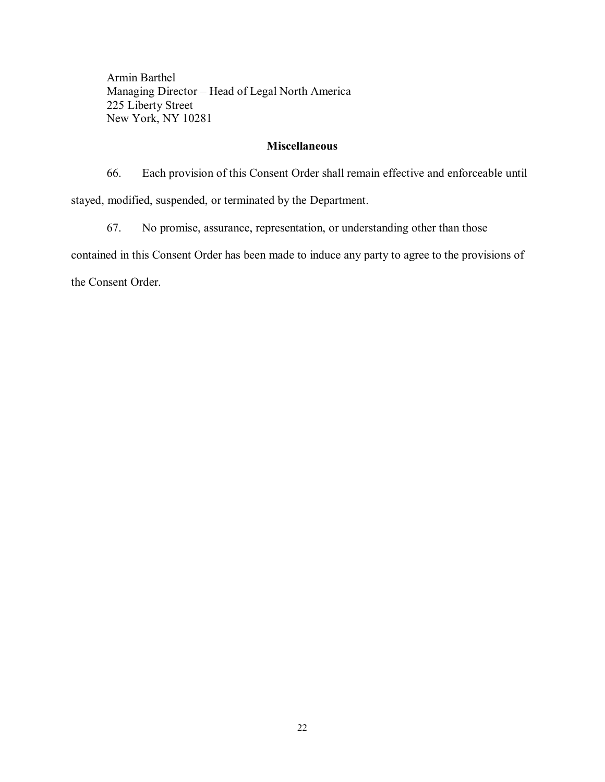- Head of Legal North America Street NY 10281 Armin Barthel<br>Managing Director – Head of Legal North America<br>225 Liberty Street<br>New York, NY 10281

## **Miscellaneous**

 66. Each provision of this Consent Order shall remain effective and enforceable until stayed, modified, suspended, or terminated by the Department.

 67. No promise, assurance, representation, or understanding other than those contained in this Consent Order has been made to induce any party to agree to the provisions of the Consent Order.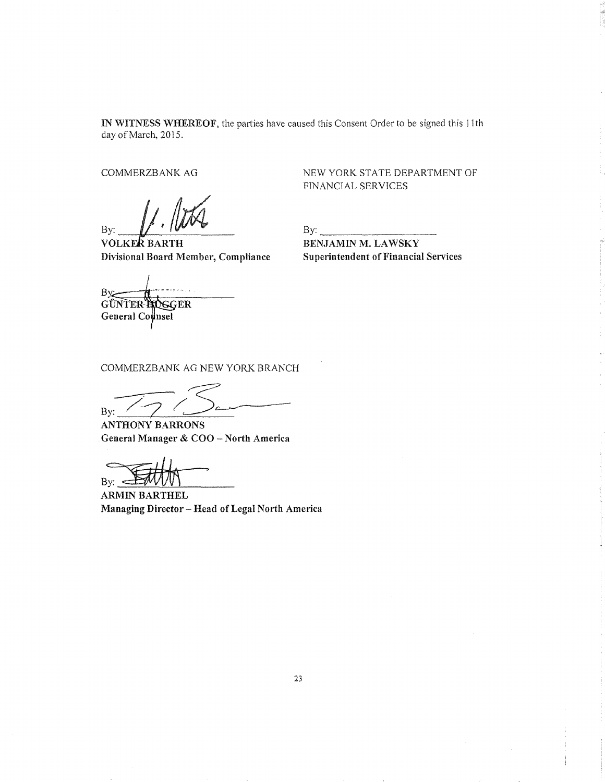IN WITNESS WHEREOF, the parties have caused this Consent Order to be signed this 11th day of March, 2015.

COMMERZBANK AG

By:  $\mu$   $\mu$ 

VOLKE Divisional Board Member, Compliance

NEW YORK STATE DEPARTMENT OF FINANCIAL SERVICES

 $By:$ BENJAMIN M. LAWSKY Superintendent of Financial Services

**By:** 

GÜNTER HOGGER General Counsel

COMMERZBANK AG NEW YORK BRANCH

 $By: 196$ 

ANTHONY BARRONS General Manager & COO- North Ametica

 $\mathcal{B}_{\mathcal{B}}$   $\mathcal{B}_{\mathcal{B}}$   $\mathcal{B}_{\mathcal{B}}$   $\mathcal{B}_{\mathcal{B}}$   $\mathcal{B}_{\mathcal{B}}$   $\mathcal{B}_{\mathcal{B}}$   $\mathcal{B}_{\mathcal{B}}$   $\mathcal{B}_{\mathcal{B}}$   $\mathcal{B}_{\mathcal{B}}$   $\mathcal{B}_{\mathcal{B}}$   $\mathcal{B}_{\mathcal{B}}$   $\mathcal{B}_{\mathcal{B}}$   $\mathcal{B}_{\mathcal{B}}$   $\mathcal{B}_{\mathcal{B}}$   $\mathcal{B}_{\mathcal{$ 

Managing Director - Head of Legal North America